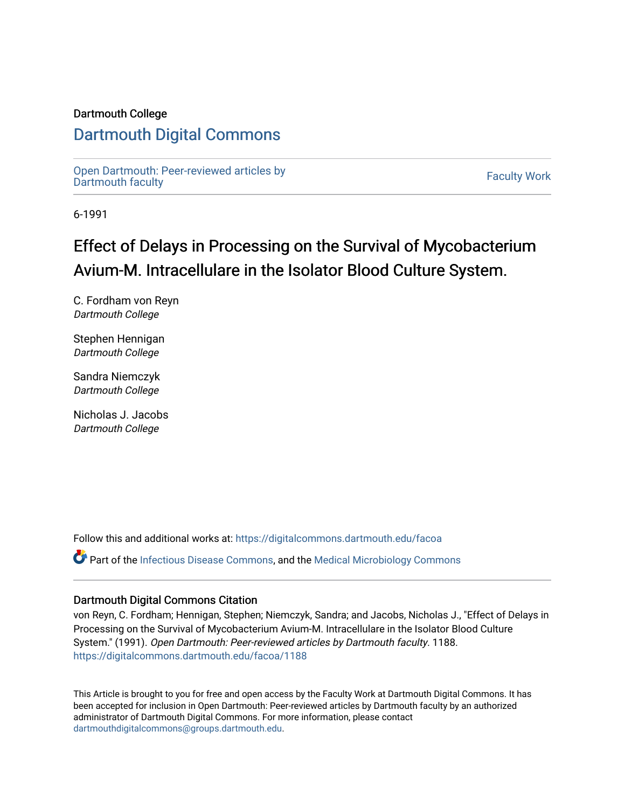### Dartmouth College

# [Dartmouth Digital Commons](https://digitalcommons.dartmouth.edu/)

[Open Dartmouth: Peer-reviewed articles by](https://digitalcommons.dartmouth.edu/facoa)  Open Dartmouth Feer-reviewed articles by<br>[Dartmouth faculty](https://digitalcommons.dartmouth.edu/facoa)

6-1991

# Effect of Delays in Processing on the Survival of Mycobacterium Avium-M. Intracellulare in the Isolator Blood Culture System.

C. Fordham von Reyn Dartmouth College

Stephen Hennigan Dartmouth College

Sandra Niemczyk Dartmouth College

Nicholas J. Jacobs Dartmouth College

Follow this and additional works at: [https://digitalcommons.dartmouth.edu/facoa](https://digitalcommons.dartmouth.edu/facoa?utm_source=digitalcommons.dartmouth.edu%2Ffacoa%2F1188&utm_medium=PDF&utm_campaign=PDFCoverPages)

Part of the [Infectious Disease Commons,](http://network.bepress.com/hgg/discipline/689?utm_source=digitalcommons.dartmouth.edu%2Ffacoa%2F1188&utm_medium=PDF&utm_campaign=PDFCoverPages) and the [Medical Microbiology Commons](http://network.bepress.com/hgg/discipline/672?utm_source=digitalcommons.dartmouth.edu%2Ffacoa%2F1188&utm_medium=PDF&utm_campaign=PDFCoverPages) 

## Dartmouth Digital Commons Citation

von Reyn, C. Fordham; Hennigan, Stephen; Niemczyk, Sandra; and Jacobs, Nicholas J., "Effect of Delays in Processing on the Survival of Mycobacterium Avium-M. Intracellulare in the Isolator Blood Culture System." (1991). Open Dartmouth: Peer-reviewed articles by Dartmouth faculty. 1188. [https://digitalcommons.dartmouth.edu/facoa/1188](https://digitalcommons.dartmouth.edu/facoa/1188?utm_source=digitalcommons.dartmouth.edu%2Ffacoa%2F1188&utm_medium=PDF&utm_campaign=PDFCoverPages) 

This Article is brought to you for free and open access by the Faculty Work at Dartmouth Digital Commons. It has been accepted for inclusion in Open Dartmouth: Peer-reviewed articles by Dartmouth faculty by an authorized administrator of Dartmouth Digital Commons. For more information, please contact [dartmouthdigitalcommons@groups.dartmouth.edu](mailto:dartmouthdigitalcommons@groups.dartmouth.edu).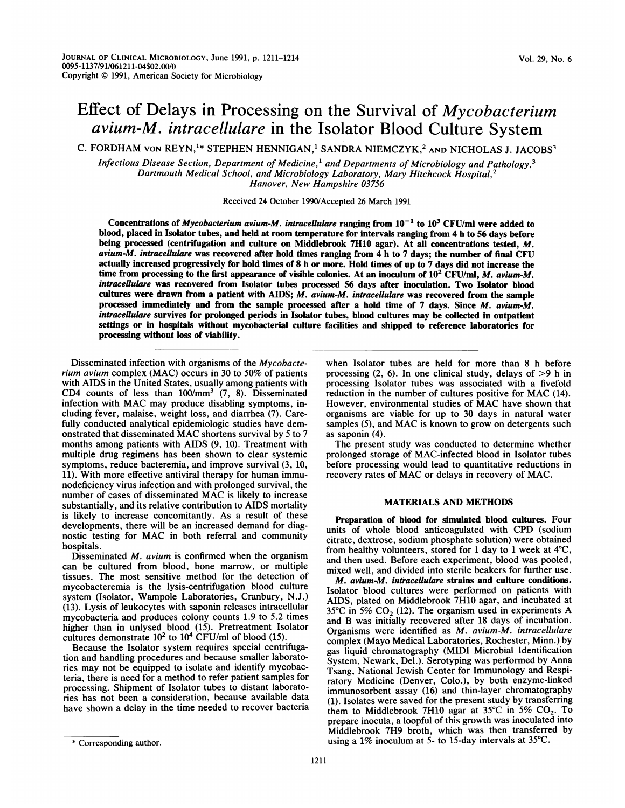# Effect of Delays in Processing on the Survival of Mycobacterium avium-M. intracellulare in the Isolator Blood Culture System

C. FORDHAM VON REYN,<sup>1\*</sup> STEPHEN HENNIGAN,<sup>1</sup> SANDRA NIEMCZYK,<sup>2</sup> AND NICHOLAS J. JACOBS<sup>3</sup>

Infectious Disease Section, Department of Medicine,<sup>1</sup> and Departments of Microbiology and Pathology,<sup>3</sup> Dartmouth Medical School, and Microbiology Laboratory, Mary Hitchcock Hospital,<sup>2</sup> Hanover, New Hampshire 03756

Received 24 October 1990/Accepted 26 March 1991

Concentrations of Mycobacterium avium-M. intracellulare ranging from  $10^{-1}$  to  $10^3$  CFU/ml were added to blood, placed in Isolator tubes, and held at room temperature for intervals ranging from 4 h to 56 days before being processed (centrifugation and culture on Middlebrook 7H10 agar). At all concentrations tested, M. avium-M. intracellulare was recovered after hold times ranging from  $4$  h to 7 days; the number of final CFU actually increased progressively for hold times of 8 h or more. Hold times of up to 7 days did not increase the time from processing to the first appearance of visible colonies. At an inoculum of  $10^2$  CFU/ml, M. avium-M. intracellulare was recovered from Isolator tubes processed 56 days after inoculation. Two Isolator blood cultures were drawn from a patient with AIDS; M. avium-M. intracellulare was recovered from the sample processed immediately and from the sample processed after a hold time of 7 days. Since M. avium-M. intracelulare survives for prolonged periods in Isolator tubes, blood cultures may be collected in outpatient settings or in hospitals without mycobacterial culture facilities and shipped to reference laboratories for processing without loss of viability.

Disseminated infection with organisms of the Mycobacterium avium complex (MAC) occurs in 30 to 50% of patients with AIDS in the United States, usually among patients with CD4 counts of less than  $100/\text{mm}^3$  (7, 8). Disseminated infection with MAC may produce disabling symptoms, including fever, malaise, weight loss, and diarrhea (7). Carefully conducted analytical epidemiologic studies have demonstrated that disseminated MAC shortens survival by <sup>5</sup> to <sup>7</sup> months among patients with AIDS (9, 10). Treatment with multiple drug regimens has been shown to clear systemic symptoms, reduce bacteremia, and improve survival (3, 10, 11). With more effective antiviral therapy for human immunodeficiency virus infection and with prolonged survival, the number of cases of disseminated MAC is likely to increase substantially, and its relative contribution to AIDS mortality is likely to increase concomitantly. As a result of these developments, there will be an increased demand for diagnostic testing for MAC in both referral and community hospitals.

Disseminated  $M$ . avium is confirmed when the organism can be cultured from blood, bone marrow, or multiple tissues. The most sensitive method for the detection of mycobacteremia is the lysis-centrifugation blood culture system (Isolator, Wampole Laboratories, Cranbury, N.J.) (13). Lysis of leukocytes with saponin releases intracellular mycobacteria and produces colony counts 1.9 to 5.2 times higher than in unlysed blood (15). Pretreatment Isolator cultures demonstrate  $10^2$  to  $10^4$  CFU/ml of blood (15).

Because the Isolator system requires special centrifugation and handling procedures and because smaller laboratories may not be equipped to isolate and identify mycobacteria, there is need for a method to refer patient samples for processing. Shipment of Isolator tubes to distant laboratories has not been a consideration, because available data have shown a delay in the time needed to recover bacteria

The present study was conducted to determine whether prolonged storage of MAC-infected blood in Isolator tubes before processing would lead to quantitative reductions in recovery rates of MAC or delays in recovery of MAC.

#### MATERIALS AND METHODS

Preparation of blood for simulated blood cultures. Four units of whole blood anticoagulated with CPD (sodium citrate, dextrose, sodium phosphate solution) were obtained from healthy volunteers, stored for <sup>1</sup> day to <sup>1</sup> week at 4°C, and then used. Before each experiment, blood was pooled, mixed well, and divided into sterile beakers for further use.

M. avium-M. intracellulare strains and culture conditions. Isolator blood cultures were performed on patients with AIDS, plated on Middlebrook 7H10 agar, and incubated at 35°C in 5%  $CO<sub>2</sub>$  (12). The organism used in experiments A and B was initially recovered after 18 days of incubation. Organisms were identified as M. avium-M. intracellulare complex (Mayo Medical Laboratories, Rochester, Minn.) by gas liquid chromatography (MIDI Microbial Identification System, Newark, Del.). Serotyping was performed by Anna Tsang, National Jewish Center for Immunology and Respiratory Medicine (Denver, Colo.), by both enzyme-linked immunosorbent assay (16) and thin-layer chromatography (1). Isolates were saved for the present study by transferring them to Middlebrook 7H10 agar at 35°C in 5%  $CO<sub>2</sub>$ . To prepare inocula, a loopful of this growth was inoculated into Middlebrook 7H9 broth, which was then transferred by using a 1% inoculum at 5- to 15-day intervals at 35°C.

when Isolator tubes are held for more than 8 h before processing  $(2, 6)$ . In one clinical study, delays of  $>9$  h in processing Isolator tubes was associated with a fivefold reduction in the number of cultures positive for MAC (14). However, environmental studies of MAC have shown that organisms are viable for up to 30 days in natural water samples (5), and MAC is known to grow on detergents such as saponin (4).

<sup>\*</sup> Corresponding author.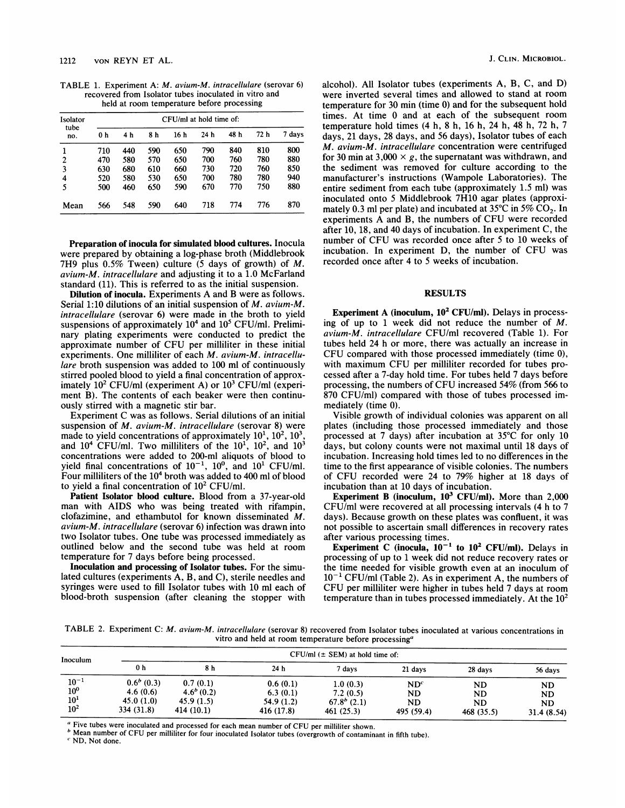TABLE 1. Experiment A: M. avium-M. intracellulare (serovar 6) recovered from Isolator tubes inoculated in vitro and held at room temperature before processing

| Isolator<br>tube<br>no. | $CFU/ml$ at hold time of: |     |     |      |      |      |      |        |  |  |
|-------------------------|---------------------------|-----|-----|------|------|------|------|--------|--|--|
|                         | 0 h                       | 4 h | 8 h | 16 h | 24 h | 48 h | 72 h | 7 days |  |  |
|                         | 710                       | 440 | 590 | 650  | 790  | 840  | 810  | 800    |  |  |
| 2                       | 470                       | 580 | 570 | 650  | 700  | 760  | 780  | 880    |  |  |
| 3                       | 630                       | 680 | 610 | 660  | 730  | 720  | 760  | 850    |  |  |
| 4                       | 520                       | 580 | 530 | 650  | 700  | 780  | 780  | 940    |  |  |
| 5                       | 500                       | 460 | 650 | 590  | 670  | 770  | 750  | 880    |  |  |
| Mean                    | 566                       | 548 | 590 | 640  | 718  | 774  | 776  | 870    |  |  |

Preparation of inocula for simulated blood cultures. Inocula were prepared by obtaining a log-phase broth (Middlebrook 7H9 plus 0.5% Tween) culture (5 days of growth) of M. avium-M. intracellulare and adjusting it to a 1.0 McFarland standard (11). This is referred to as the initial suspension.

Dilution of inocula. Experiments A and B were as follows. Serial 1:10 dilutions of an initial suspension of M. avium-M. intracellulare (serovar 6) were made in the broth to yield suspensions of approximately  $10<sup>4</sup>$  and  $10<sup>5</sup>$  CFU/ml. Preliminary plating experiments were conducted to predict the approximate number of CFU per milliliter in these initial experiments. One milliliter of each M. avium-M. intracellulare broth suspension was added to 100 ml of continuously stirred pooled blood to yield a final concentration of approximately  $10^2$  CFU/ml (experiment A) or  $10^3$  CFU/ml (experiment B). The contents of each beaker were then continuously stirred with a magnetic stir bar.

Experiment C was as follows. Serial dilutions of an initial suspension of M. avium-M. intracellulare (serovar 8) were made to yield concentrations of approximately  $10^1$ ,  $10^2$ ,  $10^3$ , and  $10^4$  CFU/ml. Two milliliters of the  $10^1$ ,  $10^2$ , and  $10^3$ concentrations were added to 200-ml aliquots of blood to yield final concentrations of  $10^{-1}$ ,  $10^{0}$ , and  $10^{1}$  CFU/ml. Four milliliters of the 10<sup>4</sup> broth was added to 400 ml of blood to yield a final concentration of  $10^2$  CFU/ml.

Patient Isolator blood culture. Blood from a 37-year-old man with AIDS who was being treated with rifampin, clofazimine, and ethambutol for known disseminated M. avium-M. intracellulare (serovar 6) infection was drawn into two Isolator tubes. One tube was processed immediately as outlined below and the second tube was held at room temperature for 7 days before being processed.

Inoculation and processing of Isolator tubes. For the simulated cultures (experiments A, B, and C), sterile needles and syringes were used to fill Isolator tubes with 10 ml each of blood-broth suspension (after cleaning the stopper with alcohol). All Isolator tubes (experiments A, B, C, and D) were inverted several times and allowed to stand at room temperature for 30 min (time 0) and for the subsequent hold times. At time 0 and at each of the subsequent room temperature hold times (4 h, 8 h, 16 h, 24 h, 48 h, 72 h, 7 days, 21 days, 28 days, and 56 days), Isolator tubes of each M. avium-M. intracellulare concentration were centrifuged for 30 min at 3,000  $\times$  g, the supernatant was withdrawn, and the sediment was removed for culture according to the manufacturer's instructions (Wampole Laboratories). The entire sediment from each tube (approximately 1.5 ml) was inoculated onto 5 Middlebrook 7H10 agar plates (approximately 0.3 ml per plate) and incubated at  $35^{\circ}$ C in  $5\%$  CO<sub>2</sub>. In experiments A and B, the numbers of CFU were recorded after 10, 18, and 40 days of incubation. In experiment C, the number of CFU was recorded once after <sup>5</sup> to <sup>10</sup> weeks of incubation. In experiment D, the number of CFU was recorded once after 4 to 5 weeks of incubation.

#### RESULTS

Experiment A (inoculum,  $10<sup>2</sup> CFU/ml$ ). Delays in processing of up to <sup>1</sup> week did not reduce the number of M. avium-M. intracellulare CFU/ml recovered (Table 1). For tubes held 24 h or more, there was actually an increase in CFU compared with those processed immediately (time 0), with maximum CFU per milliliter recorded for tubes processed after a 7-day hold time. For tubes held 7 days before processing, the numbers of CFU increased 54% (from <sup>566</sup> to 870 CFU/ml) compared with those of tubes processed immediately (time 0).

Visible growth of individual colonies was apparent on all plates (including those processed immediately and those processed at 7 days) after incubation at 35°C for only 10 days, but colony counts were not maximal until 18 days of incubation. Increasing hold times led to no differences in the time to the first appearance of visible colonies. The numbers of CFU recorded were <sup>24</sup> to 79% higher at <sup>18</sup> days of incubation than at 10 days of incubation.

Experiment B (inoculum,  $10^3$  CFU/ml). More than 2,000 CFU/ml were recovered at all processing intervals (4 h to 7 days). Because growth on these plates was confluent, it was not possible to ascertain small differences in recovery rates after various processing times.

Experiment C (inocula,  $10^{-1}$  to  $10^{2}$  CFU/ml). Delays in processing of up to <sup>1</sup> week did not reduce recovery rates or the time needed for visible growth even at an inoculum of  $10^{-1}$  CFU/ml (Table 2). As in experiment A, the numbers of CFU per milliliter were higher in tubes held <sup>7</sup> days at room temperature than in tubes processed immediately. At the  $10<sup>2</sup>$ 

TABLE 2. Experiment C: M. avium-M. intracellulare (serovar 8) recovered from Isolator tubes inoculated at various concentrations in vitro and held at room temperature before processing<sup>a</sup>

| Inoculum                                                 | $CFU/ml$ ( $\pm$ SEM) at hold time of:              |                                                       |                                                  |                                                     |                                                  |                                            |                                      |  |  |  |  |
|----------------------------------------------------------|-----------------------------------------------------|-------------------------------------------------------|--------------------------------------------------|-----------------------------------------------------|--------------------------------------------------|--------------------------------------------|--------------------------------------|--|--|--|--|
|                                                          | 0 <sub>h</sub>                                      | 8 h                                                   | 24 <sub>h</sub>                                  | 7 davs                                              | 21 days                                          | 28 days                                    | 56 days                              |  |  |  |  |
| $10^{-1}$<br>$10^{\circ}$<br>$10^{1}$<br>10 <sup>2</sup> | $0.6b$ (0.3)<br>4.6(0.6)<br>45.0(1.0)<br>334 (31.8) | 0.7(0.1)<br>$4.6^{b}(0.2)$<br>45.9(1.5)<br>414 (10.1) | 0.6(0.1)<br>6.3(0.1)<br>54.9 (1.2)<br>416 (17.8) | 1.0(0.3)<br>7.2(0.5)<br>$67.8b$ (2.1)<br>461 (25.3) | ND <sup>c</sup><br>ND<br><b>ND</b><br>495 (59.4) | ND<br><b>ND</b><br><b>ND</b><br>468 (35.5) | ND<br>ND.<br><b>ND</b><br>31.4(8.54) |  |  |  |  |

<sup>a</sup> Five tubes were inoculated and processed for each mean number of CFU per milliliter shown.

 $<sup>b</sup>$  Mean number of CFU per milliliter for four inoculated Isolator tubes (overgrowth of contaminant in fifth tube).</sup>

<sup>c</sup> ND, Not done.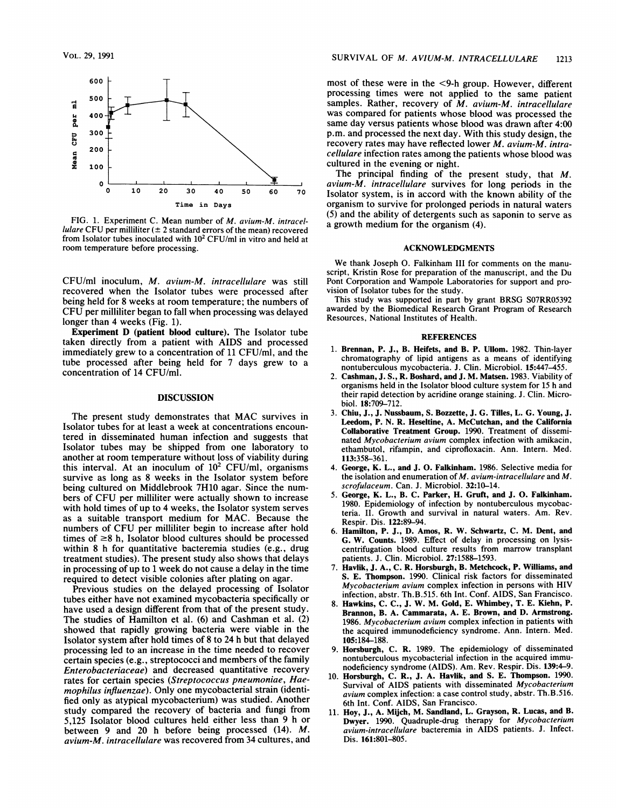

FIG. 1. Experiment C. Mean number of M. avium-M. intracellulare CFU per milliliter ( $\pm 2$  standard errors of the mean) recovered from Isolator tubes inoculated with  $10<sup>2</sup>$  CFU/ml in vitro and held at room temperature before processing.

CFU/ml inoculum, M. avium-M. intracellulare was still recovered when the Isolator tubes were processed after being held for 8 weeks at room temperature; the numbers of CFU per milliliter began to fall when processing was delayed longer than 4 weeks (Fig. 1).

Experiment D (patient blood culture). The Isolator tube taken directly from a patient with AIDS and processed immediately grew to a concentration of 11 CFU/ml, and the tube processed after being held for 7 days grew to a concentration of 14 CFU/ml.

#### DISCUSSION

The present study demonstrates that MAC survives in Isolator tubes for at least a week at concentrations encountered in disseminated human infection and suggests that Isolator tubes may be shipped from one laboratory to another at room temperature without loss of viability during this interval. At an inoculum of  $10^2$  CFU/ml, organisms survive as long as 8 weeks in the Isolator system before being cultured on Middlebrook 7H10 agar. Since the numbers of CFU per milliliter were actually shown to increase with hold times of up to 4 weeks, the Isolator system serves as <sup>a</sup> suitable transport medium for MAC. Because the numbers of CFU per milliliter begin to increase after hold times of  $\geq 8$  h, Isolator blood cultures should be processed within 8 h for quantitative bacteremia studies (e.g., drug treatment studies). The present study also shows that delays in processing of up to <sup>1</sup> week do not cause a delay in the time required to detect visible colonies after plating on agar.

Previous studies on the delayed processing of Isolator tubes either have not examined mycobacteria specifically or have used a design different from that of the present study. The studies of Hamilton et al. (6) and Cashman et al. (2) showed that rapidly growing bacteria were viable in the Isolator system after hold times of 8 to 24 h but that delayed processing led to an increase in the time needed to recover certain species (e.g., streptococci and members of the family Enterobacteriaceae) and decreased quantitative recovery rates for certain species (Streptococcus pneumoniae, Haemophilus influenzae). Only one mycobacterial strain (identified only as atypical mycobacterium) was studied. Another study compared the recovery of bacteria and fungi from 5,125 Isolator blood cultures held either less than 9 h or between 9 and 20 h before being processed (14). M. avium-M. intracellulare was recovered from 34 cultures, and

most of these were in the <9-h group. However, different processing times were not applied to the same patient samples. Rather, recovery of  $M$ . avium- $M$ . intracellulare was compared for patients whose blood was processed the same day versus patients whose blood was drawn after 4:00 p.m. and processed the next day. With this study design, the recovery rates may have reflected lower M. avium-M. intracellulare infection rates among the patients whose blood was cultured in the evening or night.

The principal finding of the present study, that M. avium-M. intracellulare survives for long periods in the Isolator system, is in accord with the known ability of the organism to survive for prolonged periods in natural waters (5) and the ability of detergents such as saponin to serve as a growth medium for the organism (4).

#### ACKNOWLEDGMENTS

We thank Joseph 0. Falkinham III for comments on the manuscript, Kristin Rose for preparation of the manuscript, and the Du Pont Corporation and Wampole Laboratories for support and provision of Isolator tubes for the study.

This study was supported in part by grant BRSG S07RR05392 awarded by the Biomedical Research Grant Program of Research Resources, National Institutes of Health.

#### REFERENCES

- 1. Brennan, P. J., B. Heifets, and B. P. Ullom. 1982. Thin-layer chromatography of lipid antigens as a means of identifying nontuberculous mycobacteria. J. Clin. Microbiol. 15:447-455.
- Cashman, J. S., R. Boshard, and J. M. Matsen. 1983. Viability of organisms held in the Isolator blood culture system for 15 h and their rapid detection by acridine orange staining. J. Clin. Microbiol. 18:709-712.
- 3. Chiu, J., J. Nussbaum, S. Bozzette, J. G. Tilles, L. G. Young, J. Leedom, P. N. R. Heseltine, A. McCutchan, and the California Collaborative Treatment Group. 1990. Treatment of disseminated Mycobacterium avium complex infection with amikacin, ethambutol, rifampin, and ciprofloxacin. Ann. Intern. Med. 113:358-361.
- 4. George, K. L., and J. 0. Falkinham. 1986. Selective media for the isolation and enumeration of M. avium-intracellulare and M. scrofulaceum. Can. J. Microbiol. 32:10-14.
- 5. George, K. L., B. C. Parker, H. Gruft, and J. 0. Falkinham. 1980. Epidemiology of infection by nontuberculous mycobacteria. II. Growth and survival in natural waters. Am. Rev. Respir. Dis. 122:89-94.
- 6. Hamilton, P. J., D. Amos, R. W. Schwartz, C. M. Dent, and G. W. Counts. 1989. Effect of delay in processing on lysiscentrifugation blood culture results from marrow transplant patients. J. Clin. Microbiol. 27:1588-1593.
- 7. Havlik, J. A., C. R. Horsburgh, B. Metchcock, P. Williams, and S. E. Thompson. 1990. Clinical risk factors for disseminated Mycobacterium avium complex infection in persons with HIV infection, abstr. Th.B.515. 6th Int. Conf. AIDS, San Francisco.
- 8. Hawkins, C. C., J. W. M. Gold, E. Whimbey, T. E. Kiehn, P. Brannon, B. A. Cammarata, A. E. Brown, and D. Armstrong. 1986. Mycobacterium avium complex infection in patients with the acquired immunodeficiency syndrome. Ann. Intern. Med. 105:184-188.
- 9. Horsburgh, C. R. 1989. The epidemiology of disseminated nontuberculous mycobacterial infection in the acquired immunodeficiency syndrome (AIDS). Am. Rev. Respir. Dis. 139:4-9.
- Horsburgh, C. R., J. A. Havlik, and S. E. Thompson. 1990. Survival of AIDS patients with disseminated Mycobacterium avium complex infection: a case control study, abstr. Th.B.516. 6th Int. Conf. AIDS, San Francisco.
- 11. Hoy,J., A. Mijch, M. Sandland, L. Grayson, R. Lucas, and B. Dwyer. 1990. Quadruple-drug therapy for Mycobacterium avium-intracellulare bacteremia in AIDS patients. J. Infect. Dis. 161:801-805.